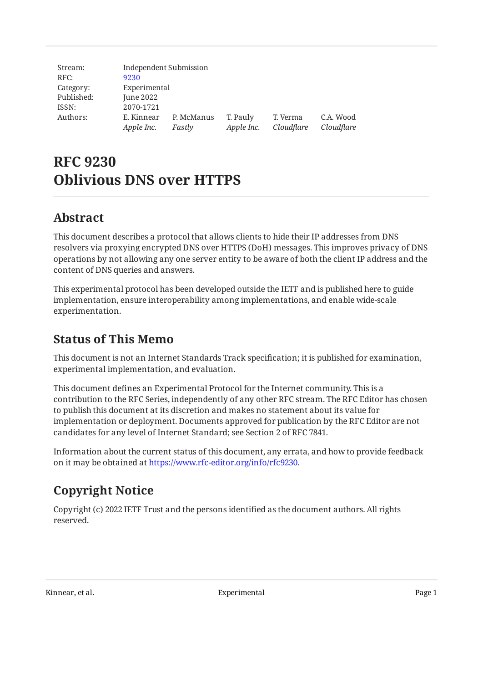| Stream:    | Independent Submission |            |            |            |            |
|------------|------------------------|------------|------------|------------|------------|
| RFC:       | 9230                   |            |            |            |            |
| Category:  | Experimental           |            |            |            |            |
| Published: | June 2022              |            |            |            |            |
| ISSN:      | 2070-1721              |            |            |            |            |
| Authors:   | E. Kinnear             | P. McManus | T. Pauly   | T. Verma   | C.A. Wood  |
|            | Apple Inc.             | Fastly     | Apple Inc. | Cloudflare | Cloudflare |

# **RFC 9230 Oblivious DNS over HTTPS**

# <span id="page-0-0"></span>**[Abstract](#page-0-0)**

This document describes a protocol that allows clients to hide their IP addresses from DNS resolvers via proxying encrypted DNS over HTTPS (DoH) messages. This improves privacy of DNS operations by not allowing any one server entity to be aware of both the client IP address and the content of DNS queries and answers.

This experimental protocol has been developed outside the IETF and is published here to guide implementation, ensure interoperability among implementations, and enable wide-scale experimentation.

# <span id="page-0-1"></span>**[Status of This Memo](#page-0-1)**

This document is not an Internet Standards Track specification; it is published for examination, experimental implementation, and evaluation.

This document defines an Experimental Protocol for the Internet community. This is a contribution to the RFC Series, independently of any other RFC stream. The RFC Editor has chosen to publish this document at its discretion and makes no statement about its value for implementation or deployment. Documents approved for publication by the RFC Editor are not candidates for any level of Internet Standard; see Section 2 of RFC 7841.

Information about the current status of this document, any errata, and how to provide feedback on it may be obtained at [https://www.rfc-editor.org/info/rfc9230.](https://www.rfc-editor.org/info/rfc9230)

# <span id="page-0-2"></span>**[Copyright Notice](#page-0-2)**

Copyright (c) 2022 IETF Trust and the persons identified as the document authors. All rights reserved.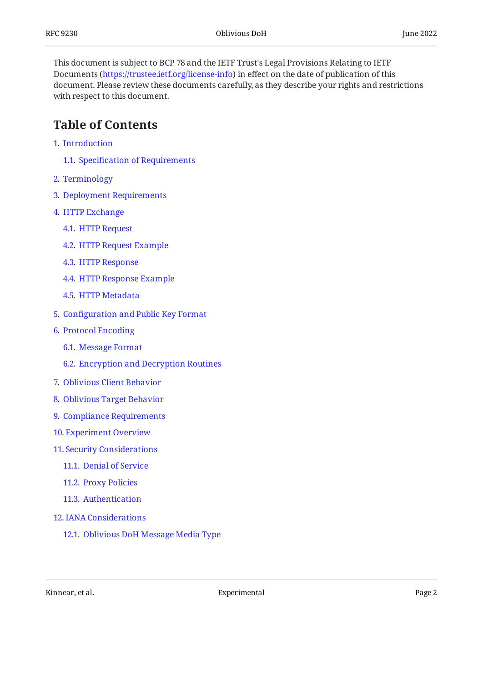This document is subject to BCP 78 and the IETF Trust's Legal Provisions Relating to IETF Documents (<https://trustee.ietf.org/license-info>) in effect on the date of publication of this document. Please review these documents carefully, as they describe your rights and restrictions with respect to this document.

## <span id="page-1-0"></span>**[Table of Contents](#page-1-0)**

- [1](#page-2-0). [Introduction](#page-2-0)
	- [1.1.](#page-2-1) Specifi[cation of Requirements](#page-2-1)
- [2](#page-3-0). [Terminology](#page-3-0)
- [3](#page-3-1). [Deployment Requirements](#page-3-1)
- [4](#page-3-2). [HTTP Exchange](#page-3-2)
	- [4.1.](#page-4-0) [HTTP Request](#page-4-0)
	- [4.2.](#page-5-0) [HTTP Request Example](#page-5-0)
	- [4.3.](#page-5-1) [HTTP Response](#page-5-1)
	- [4.4.](#page-6-0) [HTTP Response Example](#page-6-0)
	- [4.5.](#page-6-1) [HTTP Metadata](#page-6-1)
- [5](#page-6-2). Confi[guration and Public Key Format](#page-6-2)
- [6](#page-8-0). [Protocol Encoding](#page-8-0)
	- [6.1.](#page-8-1) [Message Format](#page-8-1)
	- [6.2.](#page-9-0) [Encryption and Decryption Routines](#page-9-0)
- [7](#page-11-0). [Oblivious Client Behavior](#page-11-0)
- [8](#page-11-1). [Oblivious Target Behavior](#page-11-1)
- [9](#page-12-0). [Compliance Requirements](#page-12-0)
- [10](#page-12-1). [Experiment Overview](#page-12-1)
- [11](#page-13-0). [Security Considerations](#page-13-0)
	- [11.1.](#page-14-0) [Denial of Service](#page-14-0)
	- [11.2.](#page-14-1) [Proxy Policies](#page-14-1)
	- [11.3.](#page-14-2) [Authentication](#page-14-2)
- [12](#page-14-3). [IANA Considerations](#page-14-3)
	- [12.1.](#page-14-4) [Oblivious DoH Message Media Type](#page-14-4)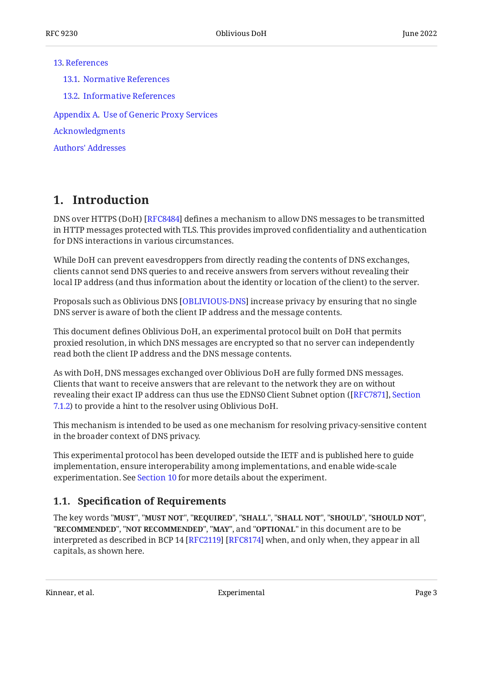#### [13](#page-15-0). [References](#page-15-0)

[13.1.](#page-15-1) [Normative References](#page-15-1)

[13.2.](#page-16-0) [Informative References](#page-16-0)

[Appendix A.](#page-17-0) [Use of Generic Proxy Services](#page-17-0)

[Acknowledgments](#page-17-1)

[Authors' Addresses](#page-17-2)

## <span id="page-2-0"></span>**[1. Introduction](#page-2-0)**

DNS over HTTPS (DoH) [RFC8484] defines a mechanism to allow DNS messages to be transmitted in HTTP messages protected with TLS. This provides improved confidentiality and authentication for DNS interactions in various circumstances.

While DoH can prevent eavesdroppers from directly reading the contents of DNS exchanges, clients cannot send DNS queries to and receive answers from servers without revealing their local IP address (and thus information about the identity or location of the client) to the server.

Proposals such as Oblivious DNS [OBLIVIOUS-DNS] increase privacy by ensuring that no single DNS server is aware of both the client IP address and the message contents.

This document defines Oblivious DoH, an experimental protocol built on DoH that permits proxied resolution, in which DNS messages are encrypted so that no server can independently read both the client IP address and the DNS message contents.

As with DoH, DNS messages exchanged over Oblivious DoH are fully formed DNS messages. Clients that want to receive answers that are relevant to the network they are on without revealing their exact IP address can thus use the EDNS0 Client Subnet option ( [[RFC7871\]](#page-17-3), [Section](https://www.rfc-editor.org/rfc/rfc7871#section-7.1.2) [7.1.2](https://www.rfc-editor.org/rfc/rfc7871#section-7.1.2)) to provide a hint to the resolver using Oblivious DoH.

This mechanism is intended to be used as one mechanism for resolving privacy-sensitive content in the broader context of DNS privacy.

This experimental protocol has been developed outside the IETF and is published here to guide implementation, ensure interoperability among implementations, and enable wide-scale experimentation. See [Section 10](#page-12-1) for more details about the experiment.

#### <span id="page-2-1"></span>**[1.1. S](#page-2-1)pecifi[cation of Requirements](#page-2-1)**

The key words "MUST", "MUST NOT", "REQUIRED", "SHALL", "SHALL NOT", "SHOULD", "SHOULD NOT", "**RECOMMENDED", "NOT RECOMMENDED", "MAY",** and "OPTIONAL" in this document are to be interpreted as described in BCP 14 [RFC2119] [RFC8174] when, and only when, they appear in all capitals, as shown here.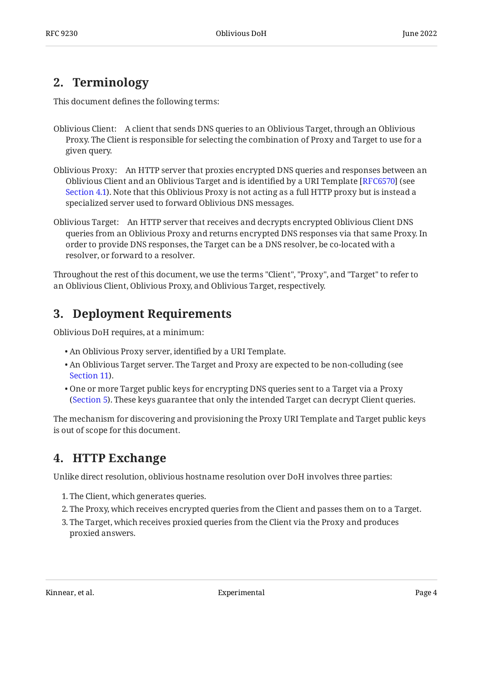# <span id="page-3-0"></span>**[2. Terminology](#page-3-0)**

This document defines the following terms:

- Oblivious Client: A client that sends DNS queries to an Oblivious Target, through an Oblivious Proxy. The Client is responsible for selecting the combination of Proxy and Target to use for a given query.
- Oblivious Proxy: An HTTP server that proxies encrypted DNS queries and responses between an Oblivious Client and an Oblivious Target and is identified by a URI Template [[RFC6570\]](#page-16-5) (see [Section 4.1](#page-4-0)). Note that this Oblivious Proxy is not acting as a full HTTP proxy but is instead a specialized server used to forward Oblivious DNS messages.
- Oblivious Target: An HTTP server that receives and decrypts encrypted Oblivious Client DNS queries from an Oblivious Proxy and returns encrypted DNS responses via that same Proxy. In order to provide DNS responses, the Target can be a DNS resolver, be co-located with a resolver, or forward to a resolver.

Throughout the rest of this document, we use the terms "Client", "Proxy", and "Target" to refer to an Oblivious Client, Oblivious Proxy, and Oblivious Target, respectively.

# <span id="page-3-1"></span>**[3. Deployment Requirements](#page-3-1)**

Oblivious DoH requires, at a minimum:

- An Oblivious Proxy server, identified by a URI Template. •
- An Oblivious Target server. The Target and Proxy are expected to be non-colluding (see [Section 11\)](#page-13-0).
- One or more Target public keys for encrypting DNS queries sent to a Target via a Proxy ([Section 5\)](#page-6-2). These keys guarantee that only the intended Target can decrypt Client queries.

The mechanism for discovering and provisioning the Proxy URI Template and Target public keys is out of scope for this document.

# <span id="page-3-2"></span>**[4. HTTP Exchange](#page-3-2)**

Unlike direct resolution, oblivious hostname resolution over DoH involves three parties:

- 1. The Client, which generates queries.
- The Proxy, which receives encrypted queries from the Client and passes them on to a Target. 2.
- <span id="page-3-3"></span>The Target, which receives proxied queries from the Client via the Proxy and produces 3. proxied answers.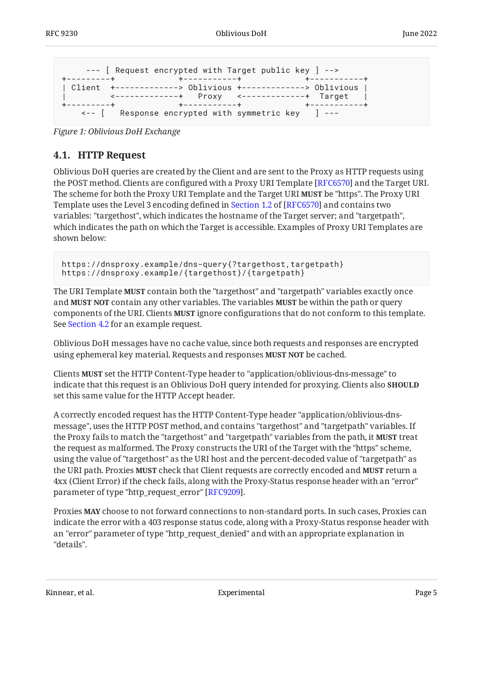```
 --- [ Request encrypted with Target public key ] -->
+---------+ +-----------+ +-----------+
| Client +-------------> Oblivious +-------------> Oblivious |
   | <-------------+ Proxy <-------------+ Target |
   +---------+ +-----------+ +-----------+
    <-- [ Response encrypted with symmetric key ] ---
```
<span id="page-4-0"></span>*[Figure 1:](#page-4-1) [Oblivious DoH Exchange](#page-3-3)* 

### **[4.1. HTTP Request](#page-4-0)**

Oblivious DoH queries are created by the Client and are sent to the Proxy as HTTP requests using the POST method. Clients are configured with a Proxy URI Template [RFC6570] and the Target URI. The scheme for both the Proxy URI Template and the Target URI **MUST** be "https". The Proxy URI Templateuses the Level 3 encoding defined in Section 1.2 of [RFC6570] and contains two variables: "targethost", which indicates the hostname of the Target server; and "targetpath", which indicates the path on which the Target is accessible. Examples of Proxy URI Templates are shown below:

https://dnsproxy.example/dns-query{?targethost,targetpath} https://dnsproxy.example/{targethost}/{targetpath}

The URI Template **MUST** contain both the "targethost" and "targetpath" variables exactly once and **MUST NOT** contain any other variables. The variables **MUST** be within the path or query components of the URI. Clients **MUST** ignore configurations that do not conform to this template. See [Section 4.2](#page-5-0) for an example request.

Oblivious DoH messages have no cache value, since both requests and responses are encrypted using ephemeral key material. Requests and responses **MUST NOT** be cached.

Clients **MUST** set the HTTP Content-Type header to "application/oblivious-dns-message" to indicate that this request is an Oblivious DoH query intended for proxying. Clients also **SHOULD** set this same value for the HTTP Accept header.

A correctly encoded request has the HTTP Content-Type header "application/oblivious-dnsmessage", uses the HTTP POST method, and contains "targethost" and "targetpath" variables. If the Proxy fails to match the "targethost" and "targetpath" variables from the path, it **MUST** treat the request as malformed. The Proxy constructs the URI of the Target with the "https" scheme, using the value of "targethost" as the URI host and the percent-decoded value of "targetpath" as the URI path. Proxies **MUST** check that Client requests are correctly encoded and **MUST** return a 4xx (Client Error) if the check fails, along with the Proxy-Status response header with an "error" parameter of type "http\_request\_error" [RFC9209].

Proxies **MAY** choose to not forward connections to non-standard ports. In such cases, Proxies can indicate the error with a 403 response status code, along with a Proxy-Status response header with an "error" parameter of type "http\_request\_denied" and with an appropriate explanation in "details".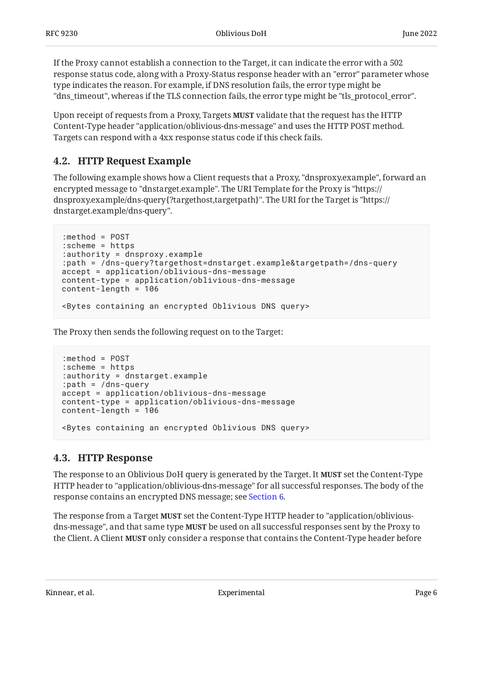If the Proxy cannot establish a connection to the Target, it can indicate the error with a 502 response status code, along with a Proxy-Status response header with an "error" parameter whose type indicates the reason. For example, if DNS resolution fails, the error type might be "dns\_timeout", whereas if the TLS connection fails, the error type might be "tls\_protocol\_error".

Upon receipt of requests from a Proxy, Targets **MUST** validate that the request has the HTTP Content-Type header "application/oblivious-dns-message" and uses the HTTP POST method. Targets can respond with a 4xx response status code if this check fails.

#### <span id="page-5-0"></span>**[4.2. HTTP Request Example](#page-5-0)**

The following example shows how a Client requests that a Proxy, "dnsproxy.example", forward an encrypted message to "dnstarget.example". The URI Template for the Proxy is "https:// dnsproxy.example/dns-query{?targethost,targetpath}". The URI for the Target is "https:// dnstarget.example/dns-query".

```
:method = POST
:scheme = https
:authority = dnsproxy.example
:path = /dns-query?targethost=dnstarget.example&targetpath=/dns-query
accept = application/oblivious-dns-message
content-type = application/oblivious-dns-message
content-length = 106
<Bytes containing an encrypted Oblivious DNS query>
```
The Proxy then sends the following request on to the Target:

```
:method = POST
:scheme = https
:authority = dnstarget.example
:path = /dns-query
accept = application/oblivious-dns-message
content-type = application/oblivious-dns-message
content-length = 106
<Bytes containing an encrypted Oblivious DNS query>
```
#### <span id="page-5-1"></span>**[4.3. HTTP Response](#page-5-1)**

The response to an Oblivious DoH query is generated by the Target. It **MUST** set the Content-Type HTTP header to "application/oblivious-dns-message" for all successful responses. The body of the response contains an encrypted DNS message; see [Section 6.](#page-8-0)

The response from a Target **MUST** set the Content-Type HTTP header to "application/obliviousdns-message", and that same type **MUST** be used on all successful responses sent by the Proxy to the Client. A Client **MUST** only consider a response that contains the Content-Type header before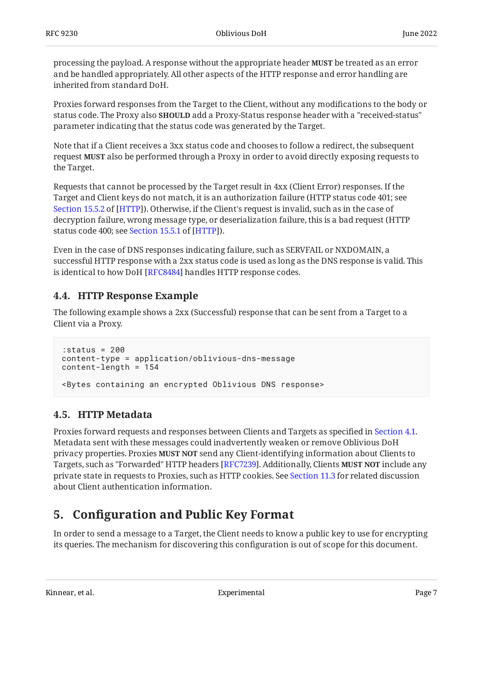processing the payload. A response without the appropriate header **MUST** be treated as an error and be handled appropriately. All other aspects of the HTTP response and error handling are inherited from standard DoH.

Proxies forward responses from the Target to the Client, without any modifications to the body or status code. The Proxy also **SHOULD** add a Proxy-Status response header with a "received-status" parameter indicating that the status code was generated by the Target.

Note that if a Client receives a 3xx status code and chooses to follow a redirect, the subsequent request **MUST** also be performed through a Proxy in order to avoid directly exposing requests to the Target.

Requests that cannot be processed by the Target result in 4xx (Client Error) responses. If the Target and Client keys do not match, it is an authorization failure (HTTP status code 401; see [Section 15.5.2](https://www.rfc-editor.org/rfc/rfc9110#section-15.5.2) of [[HTTP](#page-15-2)]). Otherwise, if the Client's request is invalid, such as in the case of decryption failure, wrong message type, or deserialization failure, this is a bad request (HTTP statuscode 400; see Section 15.5.1 of [HTTP]).

Even in the case of DNS responses indicating failure, such as SERVFAIL or NXDOMAIN, a successful HTTP response with a 2xx status code is used as long as the DNS response is valid. This is identical to how DoH [\[RFC8484\]](#page-16-1) handles HTTP response codes.

### <span id="page-6-0"></span>**[4.4. HTTP Response Example](#page-6-0)**

The following example shows a 2xx (Successful) response that can be sent from a Target to a Client via a Proxy.

```
:status = 200
content-type = application/oblivious-dns-message
content-length = 154
<Bytes containing an encrypted Oblivious DNS response>
```
### <span id="page-6-1"></span>**[4.5. HTTP Metadata](#page-6-1)**

Proxies forward requests and responses between Clients and Targets as specified in [Section 4.1](#page-4-0). Metadata sent with these messages could inadvertently weaken or remove Oblivious DoH privacy properties. Proxies **MUST NOT** send any Client-identifying information about Clients to Targets, such as "Forwarded" HTTP headers [RFC7239]. Additionally, Clients **MUST NOT** include any private state in requests to Proxies, such as HTTP cookies. See [Section 11.3](#page-14-2) for related discussion about Client authentication information.

## <span id="page-6-2"></span>**[5. C](#page-6-2)onfi[guration and Public Key Format](#page-6-2)**

In order to send a message to a Target, the Client needs to know a public key to use for encrypting its queries. The mechanism for discovering this configuration is out of scope for this document.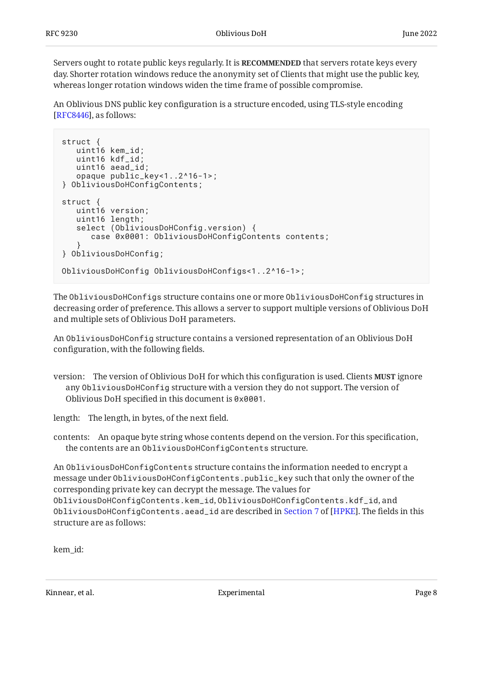Servers ought to rotate public keys regularly. It is **RECOMMENDED** that servers rotate keys every day. Shorter rotation windows reduce the anonymity set of Clients that might use the public key, whereas longer rotation windows widen the time frame of possible compromise.

An Oblivious DNS public key configuration is a structure encoded, using TLS-style encoding  $[RFC8446],$  $[RFC8446],$  $[RFC8446],$  as follows:

```
struct {
    uint16 kem_id;
    uint16 kdf_id;
    uint16 aead_id;
    opaque public_key<1..2^16-1>;
} ObliviousDoHConfigContents;
struct {
    uint16 version;
    uint16 length;
   select (ObliviousDoHConfig.version) {
       case 0x0001: ObliviousDoHConfigContents contents;
 }
} ObliviousDoHConfig;
ObliviousDoHConfig ObliviousDoHConfigs<1..2^16-1>;
```
The ObliviousDoHConfigs structure contains one or more ObliviousDoHConfig structures in decreasing order of preference. This allows a server to support multiple versions of Oblivious DoH and multiple sets of Oblivious DoH parameters.

An ObliviousDoHConfig structure contains a versioned representation of an Oblivious DoH configuration, with the following fields.

version: The version of Oblivious DoH for which this configuration is used. Clients **MUST** ignore any ObliviousDoHConfig structure with a version they do not support. The version of Oblivious DoH specified in this document is 0x0001.

length: The length, in bytes, of the next field.

contents: An opaque byte string whose contents depend on the version. For this specification, the contents are an ObliviousDoHConfigContents structure.

An ObliviousDoHConfigContents structure contains the information needed to encrypt a message under ObliviousDoHConfigContents.public\_key such that only the owner of the corresponding private key can decrypt the message. The values for ObliviousDoHConfigContents.kem\_id, ObliviousDoHConfigContents.kdf\_id, and ObliviousDoHConfigContents.aead\_idare described in Section 7 of [HPKE]. The fields in this structure are as follows:

```
kem_id:
```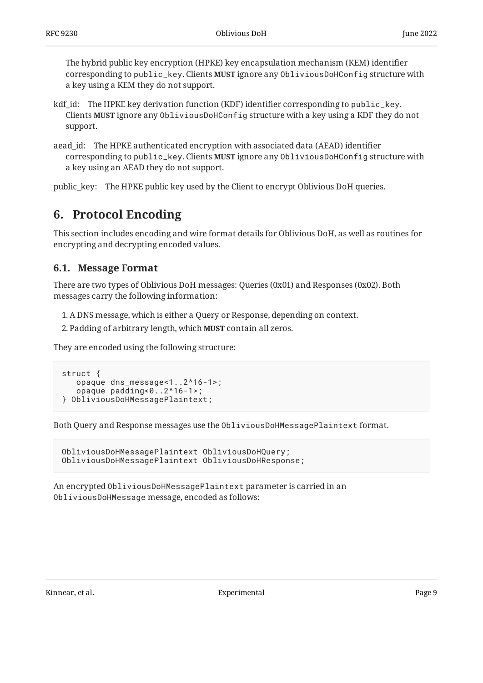The hybrid public key encryption (HPKE) key encapsulation mechanism (KEM) identifier corresponding to public\_key. Clients MUST ignore any ObliviousDoHConfig structure with a key using a KEM they do not support.

- kdf\_id: The HPKE key derivation function (KDF) identifier corresponding to public\_key. Clients **MUST** ignore any <code>ObliviousDoHConfig</code> structure with a key using a KDF they do not support.
- aead\_id: The HPKE authenticated encryption with associated data (AEAD) identifier corresponding to public\_key. Clients MUST ignore any ObliviousDoHConfig structure with a key using an AEAD they do not support.

<span id="page-8-0"></span>public\_key: The HPKE public key used by the Client to encrypt Oblivious DoH queries.

## **[6. Protocol Encoding](#page-8-0)**

This section includes encoding and wire format details for Oblivious DoH, as well as routines for encrypting and decrypting encoded values.

#### <span id="page-8-1"></span>**[6.1. Message Format](#page-8-1)**

There are two types of Oblivious DoH messages: Queries (0x01) and Responses (0x02). Both messages carry the following information:

- A DNS message, which is either a Query or Response, depending on context. 1.
- 2. Padding of arbitrary length, which **MUST** contain all zeros.

They are encoded using the following structure:

```
struct {
    opaque dns_message<1..2^16-1>;
    opaque padding<0..2^16-1>;
} ObliviousDoHMessagePlaintext;
```
Both Query and Response messages use the ObliviousDoHMessagePlaintext format.

```
ObliviousDoHMessagePlaintext ObliviousDoHQuery;
ObliviousDoHMessagePlaintext ObliviousDoHResponse;
```
An encrypted ObliviousDoHMessagePlaintext parameter is carried in an ObliviousDoHMessage message, encoded as follows: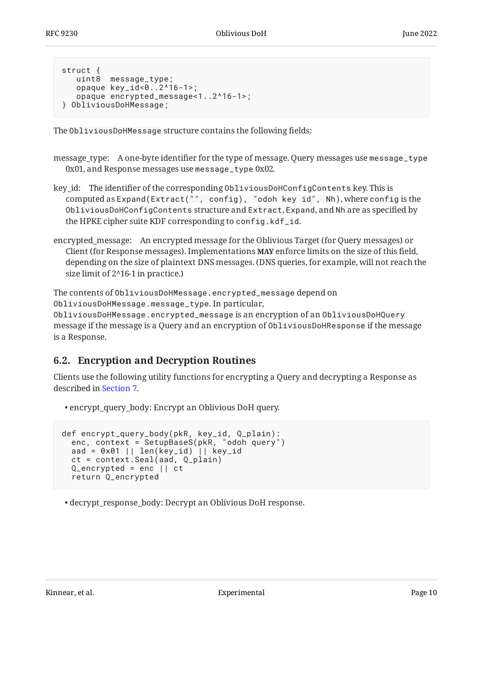```
struct {
    uint8 message_type;
    opaque key_id<0..2^16-1>;
    opaque encrypted_message<1..2^16-1>;
} ObliviousDoHMessage;
```
The ObliviousDoHMessage structure contains the following fields:

- message\_type: A one-byte identifier for the type of message. Query messages use message\_type 0x01, and Response messages use message\_type 0x02.
- key\_id: The identifier of the corresponding ObliviousDoHConfigContents key. This is computed as Expand(Extract("", config), "odoh key id", Nh), where config is the ObliviousDoHConfigContents structure and Extract, Expand, and Nh are as specified by the HPKE cipher suite KDF corresponding to config.kdf\_id.
- encrypted\_message: An encrypted message for the Oblivious Target (for Query messages) or Client (for Response messages). Implementations **MAY** enforce limits on the size of this field, depending on the size of plaintext DNS messages. (DNS queries, for example, will not reach the size limit of 2^16-1 in practice.)

The contents of ObliviousDoHMessage.encrypted\_message depend on ObliviousDoHMessage.message\_type. In particular, ObliviousDoHMessage.encrypted\_message is an encryption of an ObliviousDoHQuery message if the message is a Query and an encryption of ObliviousDoHResponse if the message is a Response.

#### <span id="page-9-0"></span>**[6.2. Encryption and Decryption Routines](#page-9-0)**

Clients use the following utility functions for encrypting a Query and decrypting a Response as described in [Section 7.](#page-11-0)

encrypt\_query\_body: Encrypt an Oblivious DoH query. •

```
def encrypt_query_body(pkR, key_id, Q_plain):
   enc, context = SetupBaseS(pkR, "odoh query")
  aad = 0 \times 01 || len(key_id) || key_id
   ct = context.Seal(aad, Q_plain)
   Q_encrypted = enc || ct
   return Q_encrypted
```
decrypt\_response\_body: Decrypt an Oblivious DoH response. •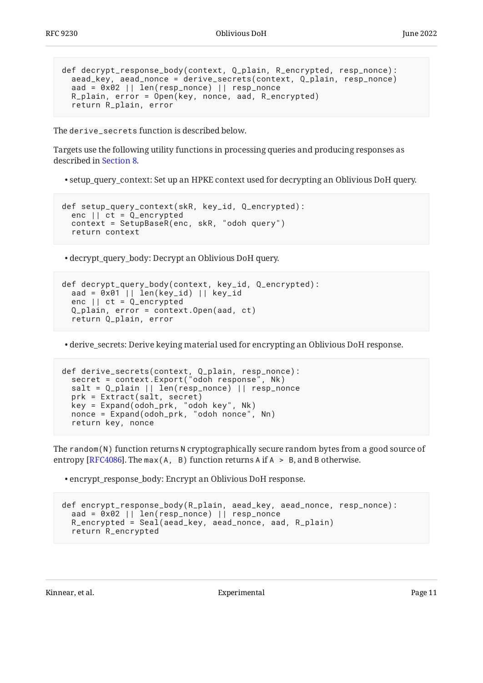```
def decrypt_response_body(context, Q_plain, R_encrypted, resp_nonce):
  aead_key, aead_nonce = derive_secrets(context, Q_plain, resp_nonce)
  aad = 0x02 || len(resp_nonce) || resp_nonce
  R_plain, error = Open(key, nonce, aad, R_encrypted)
   return R_plain, error
```
The derive secrets function is described below.

Targets use the following utility functions in processing queries and producing responses as described in [Section 8.](#page-11-1)

setup\_query\_context: Set up an HPKE context used for decrypting an Oblivious DoH query. •

```
def setup_query_context(skR, key_id, Q_encrypted):
   enc || ct = Q_encrypted
   context = SetupBaseR(enc, skR, "odoh query")
   return context
```
decrypt\_query\_body: Decrypt an Oblivious DoH query. •

```
def decrypt_query_body(context, key_id, Q_encrypted):
  aad = 0x01 || len(key_id) || key_id
  enc || ct = Q_encrypted
  Q_plain, error = context.Open(aad, ct)
  return Q_plain, error
```
derive\_secrets: Derive keying material used for encrypting an Oblivious DoH response. •

```
def derive_secrets(context, Q_plain, resp_nonce):
 secret = context.Export("odoh response", Nk)
  salt = Q_plain || len(resp_nonce) || resp_nonce
  prk = Extract(salt, secret)
 key = Expand(odoh_prk, "odoh key", Nk)
 nonce = Expand(odoh_prk, "odoh nonce", Nn)
  return key, nonce
```
The random(N) function returns N cryptographically secure random bytes from a good source of entropy [RFC4086]. The max(A, B) function returns A if  $A > B$ , and B otherwise.

encrypt\_response\_body: Encrypt an Oblivious DoH response. •

```
def encrypt_response_body(R_plain, aead_key, aead_nonce, resp_nonce):
 aad = 0x02 || len(resp_nonce) || resp_nonce
 R_encrypted = Seal(aead_key, aead_nonce, aad, R_plain)
  return R_encrypted
```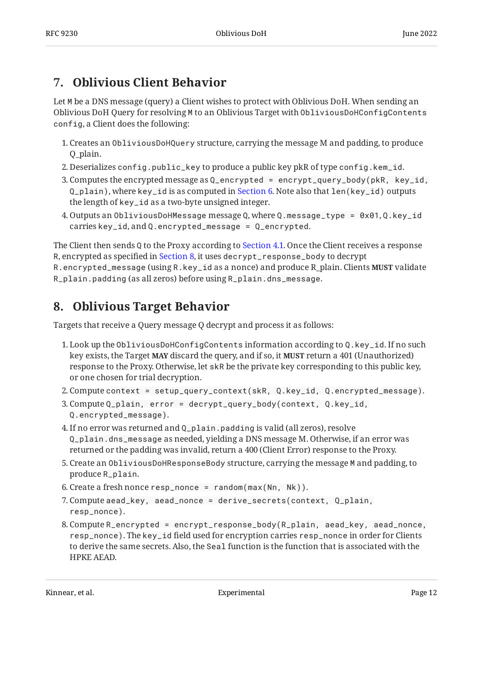# <span id="page-11-0"></span>**[7. Oblivious Client Behavior](#page-11-0)**

Let M be a DNS message (query) a Client wishes to protect with Oblivious DoH. When sending an Oblivious DoH Query for resolving M to an Oblivious Target with ObliviousDoHConfigContents config, a Client does the following:

- $1.$  Creates an <code>ObliviousDoHQuery</code> structure, carrying the message M and padding, to produce Q\_plain.
- 2. Deserializes config.public\_key to produce a public key pkR of type config.kem\_id.
- 3. Computes the encrypted message as  $Q$ \_encrypted = encrypt\_query\_body(pkR, key\_id, Q\_plain), where key\_id is as computed in [Section 6.](#page-8-0) Note also that len(key\_id) outputs the length of key\_id as a two-byte unsigned integer.
- $4. \, {\rm Outputs}$  an <code>ObliviousDoHMessage</code> message Q, where <code>Q.message\_type = 0x01,Q.key\_id</code> carries key\_id, and Q.encrypted\_message = Q\_encrypted.

The Client then sends Q to the Proxy according to [Section 4.1](#page-4-0). Once the Client receives a response R, encrypted as specified in [Section 8](#page-11-1), it uses decrypt\_response\_body to decrypt R.encrypted\_message (using R.key\_id as a nonce) and produce R\_plain. Clients **MUST** validate R\_plain.padding (as all zeros) before using R\_plain.dns\_message.

# <span id="page-11-1"></span>**[8. Oblivious Target Behavior](#page-11-1)**

Targets that receive a Query message Q decrypt and process it as follows:

- Look up the ObliviousDoHConfigContents information according to Q.key\_id. If no such 1. key exists, the Target **MAY** discard the query, and if so, it **MUST** return a 401 (Unauthorized) response to the Proxy. Otherwise, let skR be the private key corresponding to this public key, or one chosen for trial decryption.
- Compute context = setup\_query\_context(skR, Q.key\_id, Q.encrypted\_message). 2.
- 3. Compute Q\_plain, error = decrypt\_query\_body(context, Q.key\_id, Q.encrypted\_message).
- If no error was returned and Q\_plain.padding is valid (all zeros), resolve 4. Q\_plain.dns\_message as needed, yielding a DNS message M. Otherwise, if an error was returned or the padding was invalid, return a 400 (Client Error) response to the Proxy.
- 5. Create an <code>ObliviousDoHResponseBody</code> structure, carrying the message <code>M</code> and padding, to produce R\_plain.
- Create a fresh nonce resp\_nonce = random(max(Nn, Nk)). 6.
- Compute aead\_key, aead\_nonce = derive\_secrets(context, Q\_plain, 7. resp\_nonce).
- 8.Compute R\_encrypted = encrypt\_response\_body(R\_plain, aead\_key, aead\_nonce, resp\_nonce). The key\_id field used for encryption carries resp\_nonce in order for Clients to derive the same secrets. Also, the Seal function is the function that is associated with the HPKE AEAD.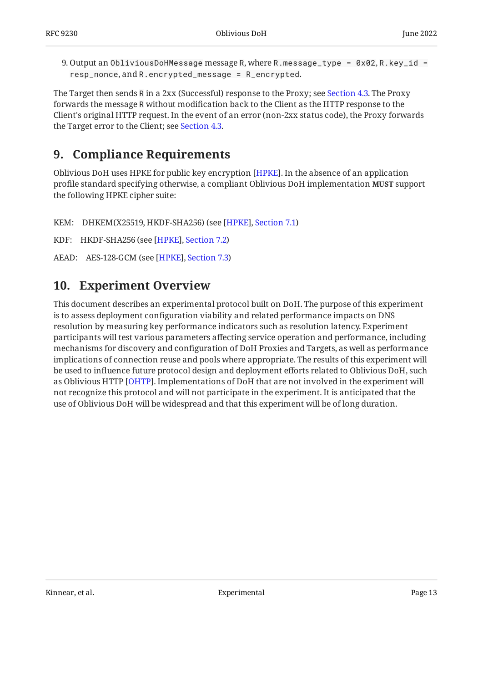9.Output an ObliviousDoHMessage message R, where R .message\_type = 0x02, R .key\_id = resp\_nonce, and R.encrypted\_message = R\_encrypted.

The Target then sends R in a 2xx (Successful) response to the Proxy; see [Section 4.3](#page-5-1). The Proxy forwards the message R without modification back to the Client as the HTTP response to the Client's original HTTP request. In the event of an error (non-2xx status code), the Proxy forwards the Target error to the Client; see [Section 4.3.](#page-5-1)

## <span id="page-12-0"></span>**[9. Compliance Requirements](#page-12-0)**

Oblivious DoH uses HPKE for public key encryption [HPKE]. In the absence of an application profile standard specifying otherwise, a compliant Oblivious DoH implementation **MUST** support the following HPKE cipher suite:

KEM: DHKEM(X25519, HKDF-SHA256) (see [HPKE], Section 7.1)

KDF: HKDF-SHA256 (see [HPKE], Section 7.2)

<span id="page-12-1"></span>AEAD: AES-128-GCM (see [HPKE], Section 7.3)

## **[10. Experiment Overview](#page-12-1)**

This document describes an experimental protocol built on DoH. The purpose of this experiment is to assess deployment configuration viability and related performance impacts on DNS resolution by measuring key performance indicators such as resolution latency. Experiment participants will test various parameters affecting service operation and performance, including mechanisms for discovery and configuration of DoH Proxies and Targets, as well as performance implications of connection reuse and pools where appropriate. The results of this experiment will be used to influence future protocol design and deployment efforts related to Oblivious DoH, such as Oblivious HTTP [\[OHTP\]](#page-16-10). Implementations of DoH that are not involved in the experiment will not recognize this protocol and will not participate in the experiment. It is anticipated that the use of Oblivious DoH will be widespread and that this experiment will be of long duration.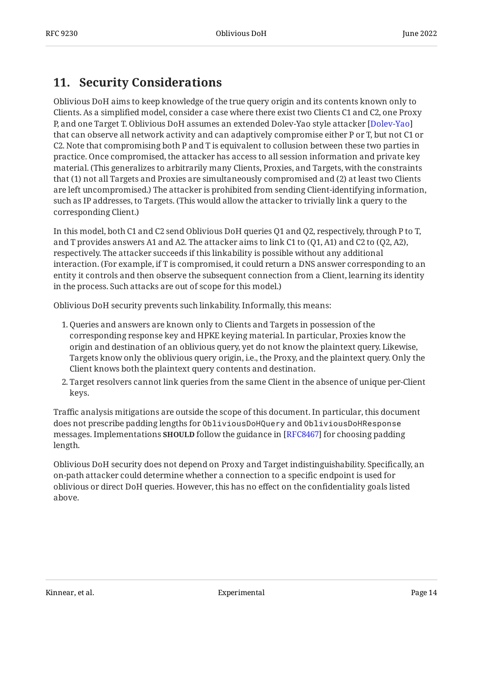# <span id="page-13-0"></span>**[11. Security Considerations](#page-13-0)**

Oblivious DoH aims to keep knowledge of the true query origin and its contents known only to Clients. As a simplified model, consider a case where there exist two Clients C1 and C2, one Proxy P, and one Target T. Oblivious DoH assumes an extended Dolev-Yao style attacker [[Dolev-Yao\]](#page-16-11) that can observe all network activity and can adaptively compromise either P or T, but not C1 or C2. Note that compromising both P and T is equivalent to collusion between these two parties in practice. Once compromised, the attacker has access to all session information and private key material. (This generalizes to arbitrarily many Clients, Proxies, and Targets, with the constraints that (1) not all Targets and Proxies are simultaneously compromised and (2) at least two Clients are left uncompromised.) The attacker is prohibited from sending Client-identifying information, such as IP addresses, to Targets. (This would allow the attacker to trivially link a query to the corresponding Client.)

In this model, both C1 and C2 send Oblivious DoH queries Q1 and Q2, respectively, through P to T, and T provides answers A1 and A2. The attacker aims to link C1 to (Q1, A1) and C2 to (Q2, A2), respectively. The attacker succeeds if this linkability is possible without any additional interaction. (For example, if T is compromised, it could return a DNS answer corresponding to an entity it controls and then observe the subsequent connection from a Client, learning its identity in the process. Such attacks are out of scope for this model.)

Oblivious DoH security prevents such linkability. Informally, this means:

- 1. Queries and answers are known only to Clients and Targets in possession of the corresponding response key and HPKE keying material. In particular, Proxies know the origin and destination of an oblivious query, yet do not know the plaintext query. Likewise, Targets know only the oblivious query origin, i.e., the Proxy, and the plaintext query. Only the Client knows both the plaintext query contents and destination.
- Target resolvers cannot link queries from the same Client in the absence of unique per-Client 2. keys.

Traffic analysis mitigations are outside the scope of this document. In particular, this document does not prescribe padding lengths for ObliviousDoHQuery and ObliviousDoHResponse messages. Implementations **SHOULD** follow the guidance in [RFC8467] for choosing padding length.

Oblivious DoH security does not depend on Proxy and Target indistinguishability. Specifically, an on-path attacker could determine whether a connection to a specific endpoint is used for oblivious or direct DoH queries. However, this has no effect on the confidentiality goals listed above.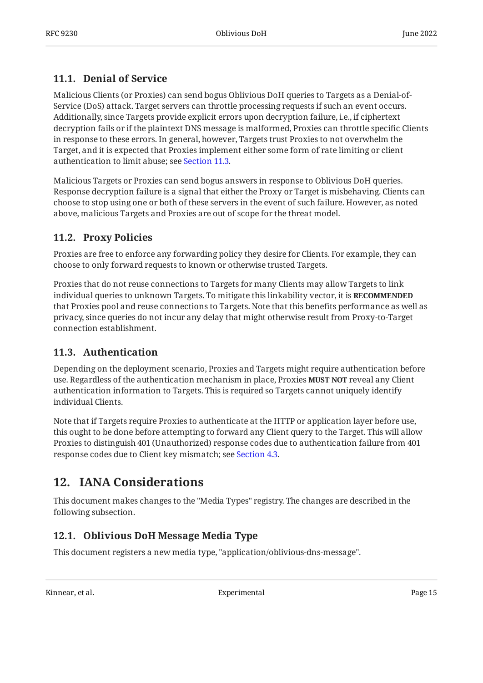### <span id="page-14-0"></span>**[11.1. Denial of Service](#page-14-0)**

Malicious Clients (or Proxies) can send bogus Oblivious DoH queries to Targets as a Denial-of-Service (DoS) attack. Target servers can throttle processing requests if such an event occurs. Additionally, since Targets provide explicit errors upon decryption failure, i.e., if ciphertext decryption fails or if the plaintext DNS message is malformed, Proxies can throttle specific Clients in response to these errors. In general, however, Targets trust Proxies to not overwhelm the Target, and it is expected that Proxies implement either some form of rate limiting or client authentication to limit abuse; see [Section 11.3.](#page-14-2)

Malicious Targets or Proxies can send bogus answers in response to Oblivious DoH queries. Response decryption failure is a signal that either the Proxy or Target is misbehaving. Clients can choose to stop using one or both of these servers in the event of such failure. However, as noted above, malicious Targets and Proxies are out of scope for the threat model.

#### <span id="page-14-1"></span>**[11.2. Proxy Policies](#page-14-1)**

Proxies are free to enforce any forwarding policy they desire for Clients. For example, they can choose to only forward requests to known or otherwise trusted Targets.

Proxies that do not reuse connections to Targets for many Clients may allow Targets to link individual queries to unknown Targets. To mitigate this linkability vector, it is **RECOMMENDED** that Proxies pool and reuse connections to Targets. Note that this benefits performance as well as privacy, since queries do not incur any delay that might otherwise result from Proxy-to-Target connection establishment.

#### <span id="page-14-2"></span>**[11.3. Authentication](#page-14-2)**

Depending on the deployment scenario, Proxies and Targets might require authentication before use. Regardless of the authentication mechanism in place, Proxies **MUST NOT** reveal any Client authentication information to Targets. This is required so Targets cannot uniquely identify individual Clients.

Note that if Targets require Proxies to authenticate at the HTTP or application layer before use, this ought to be done before attempting to forward any Client query to the Target. This will allow Proxies to distinguish 401 (Unauthorized) response codes due to authentication failure from 401 response codes due to Client key mismatch; see [Section 4.3.](#page-5-1)

# <span id="page-14-3"></span>**[12. IANA Considerations](#page-14-3)**

This document makes changes to the "Media Types" registry. The changes are described in the following subsection.

### <span id="page-14-4"></span>**[12.1. Oblivious DoH Message Media Type](#page-14-4)**

This document registers a new media type, "application/oblivious-dns-message".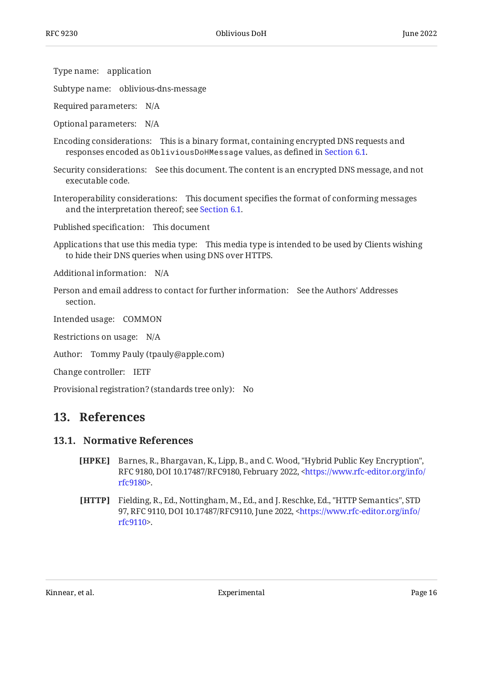Type name: application

Subtype name: oblivious-dns-message

Required parameters: N/A

Optional parameters: N/A

Encoding considerations: This is a binary format, containing encrypted DNS requests and responses encoded as ObliviousDoHMessage values, as defined in [Section 6.1](#page-8-1).

Security considerations: See this document. The content is an encrypted DNS message, and not executable code.

Interoperability considerations: This document specifies the format of conforming messages and the interpretation thereof; see [Section 6.1.](#page-8-1)

Published specification: This document

Applications that use this media type: This media type is intended to be used by Clients wishing to hide their DNS queries when using DNS over HTTPS.

Additional information: N/A

Person and email address to contact for further information: See the Authors' Addresses section.

Intended usage: COMMON

Restrictions on usage: N/A

Author: Tommy Pauly (tpauly@apple.com)

Change controller: IETF

<span id="page-15-0"></span>Provisional registration? (standards tree only): No

#### <span id="page-15-1"></span>**[13. References](#page-15-0)**

#### <span id="page-15-3"></span>**[13.1. Normative References](#page-15-1)**

- **[HPKE]** Barnes, R., Bhargavan, K., Lipp, B., and C. Wood, "Hybrid Public Key Encryption", RFC 9180, DOI 10.17487/RFC9180, February 2022, [<https://www.rfc-editor.org/info/](https://www.rfc-editor.org/info/rfc9180) . [rfc9180](https://www.rfc-editor.org/info/rfc9180)>
- <span id="page-15-2"></span>**[HTTP]** Fielding, R., Ed., Nottingham, M., Ed., and J. Reschke, Ed., "HTTP Semantics", STD 97, RFC 9110, DOI 10.17487/RFC9110, June 2022, [<https://www.rfc-editor.org/info/](https://www.rfc-editor.org/info/rfc9110) . [rfc9110](https://www.rfc-editor.org/info/rfc9110)>

Kinnear, et al. Note that the subsection of the experimental page 16 and  $\sim$  Page 16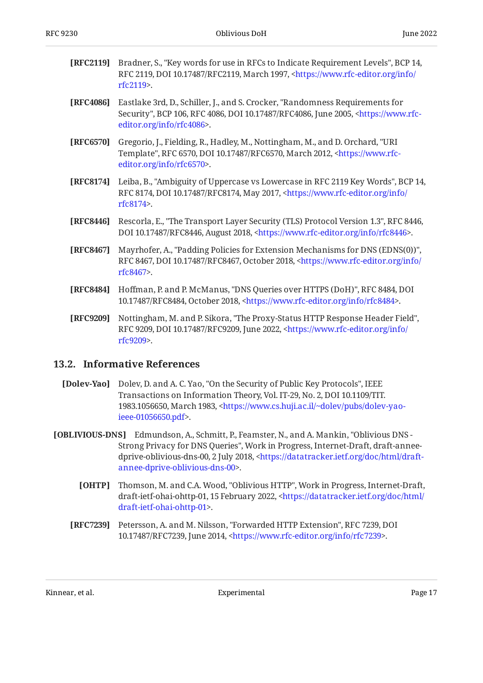- <span id="page-16-3"></span>**[RFC2119]** Bradner, S., "Key words for use in RFCs to Indicate Requirement Levels", BCP 14, RFC 2119, DOI 10.17487/RFC2119, March 1997, [<https://www.rfc-editor.org/info/](https://www.rfc-editor.org/info/rfc2119) . [rfc2119](https://www.rfc-editor.org/info/rfc2119)>
- <span id="page-16-9"></span>**[RFC4086]** Eastlake 3rd, D., Schiller, J., and S. Crocker, "Randomness Requirements for Security", BCP 106, RFC 4086, DOI 10.17487/RFC4086, June 2005, [<https://www.rfc-](https://www.rfc-editor.org/info/rfc4086). [editor.org/info/rfc4086](https://www.rfc-editor.org/info/rfc4086)>
- <span id="page-16-5"></span>**[RFC6570]** Gregorio, J., Fielding, R., Hadley, M., Nottingham, M., and D. Orchard, "URI Template", RFC 6570, DOI 10.17487/RFC6570, March 2012, [<https://www.rfc-](https://www.rfc-editor.org/info/rfc6570). [editor.org/info/rfc6570](https://www.rfc-editor.org/info/rfc6570)>
- <span id="page-16-4"></span>**[RFC8174]** Leiba, B., "Ambiguity of Uppercase vs Lowercase in RFC 2119 Key Words", BCP 14, RFC 8174, DOI 10.17487/RFC8174, May 2017, <[https://www.rfc-editor.org/info/](https://www.rfc-editor.org/info/rfc8174) . [rfc8174](https://www.rfc-editor.org/info/rfc8174)>
- <span id="page-16-8"></span>**[RFC8446]** Rescorla, E., "The Transport Layer Security (TLS) Protocol Version 1.3", RFC 8446, DOI 10.17487/RFC8446, August 2018, <https://www.rfc-editor.org/info/rfc8446>.
- <span id="page-16-12"></span>**[RFC8467]** Mayrhofer, A., "Padding Policies for Extension Mechanisms for DNS (EDNS(0))", RFC 8467, DOI 10.17487/RFC8467, October 2018, [<https://www.rfc-editor.org/info/](https://www.rfc-editor.org/info/rfc8467) . [rfc8467](https://www.rfc-editor.org/info/rfc8467)>
- <span id="page-16-1"></span>**[RFC8484]** Hoffman, P. and P. McManus, "DNS Queries over HTTPS (DoH)", RFC 8484, DOI 10.17487/RFC8484, October 2018, [<https://www.rfc-editor.org/info/rfc8484](https://www.rfc-editor.org/info/rfc8484)>.
- <span id="page-16-6"></span>**[RFC9209]** Nottingham, M. and P. Sikora, "The Proxy-Status HTTP Response Header Field", RFC 9209, DOI 10.17487/RFC9209, June 2022, [<https://www.rfc-editor.org/info/](https://www.rfc-editor.org/info/rfc9209) . [rfc9209](https://www.rfc-editor.org/info/rfc9209)>

#### <span id="page-16-0"></span>**[13.2. Informative References](#page-16-0)**

- <span id="page-16-11"></span>[Dolev-Yao] Dolev, D. and A. C. Yao, "On the Security of Public Key Protocols", IEEE Transactions on Information Theory, Vol. IT-29, No. 2, DOI 10.1109/TIT. 1983.1056650, March 1983, [<https://www.cs.huji.ac.il/~dolev/pubs/dolev-yao-](https://www.cs.huji.ac.il/~dolev/pubs/dolev-yao-ieee-01056650.pdf). [ieee-01056650.pdf>](https://www.cs.huji.ac.il/~dolev/pubs/dolev-yao-ieee-01056650.pdf)
- <span id="page-16-10"></span><span id="page-16-7"></span><span id="page-16-2"></span>**[OBLIVIOUS-DNS]** Edmundson, A., Schmitt, P., Feamster, N., and A. Mankin, "Oblivious DNS -Strong Privacy for DNS Queries", Work in Progress, Internet-Draft, draft-anneedprive-oblivious-dns-00, 2 July 2018, <[https://datatracker.ietf.org/doc/html/draft-](https://datatracker.ietf.org/doc/html/draft-annee-dprive-oblivious-dns-00). [annee-dprive-oblivious-dns-00>](https://datatracker.ietf.org/doc/html/draft-annee-dprive-oblivious-dns-00)
	- **[OHTP]** Thomson, M. and C.A. Wood, "Oblivious HTTP", Work in Progress, Internet-Draft, draft-ietf-ohai-ohttp-01, 15 February 2022, [<https://datatracker.ietf.org/doc/html/](https://datatracker.ietf.org/doc/html/draft-ietf-ohai-ohttp-01) . [draft-ietf-ohai-ohttp-01>](https://datatracker.ietf.org/doc/html/draft-ietf-ohai-ohttp-01)
	- **[RFC7239]** Petersson, A. and M. Nilsson, "Forwarded HTTP Extension", RFC 7239, DOI 10.17487/RFC7239, June 2014, <https://www.rfc-editor.org/info/rfc7239>.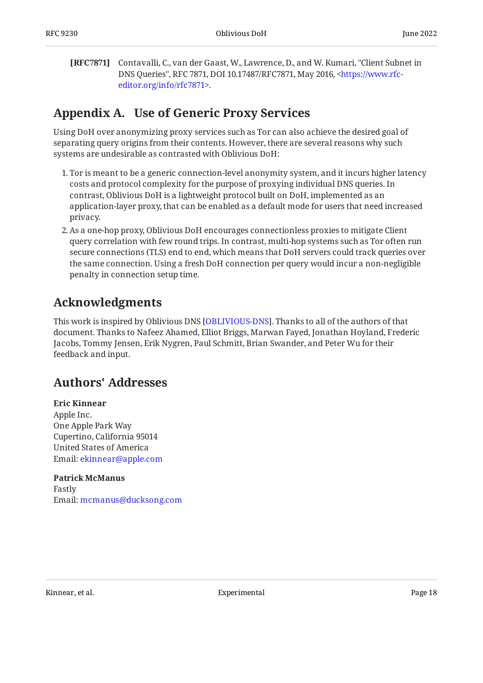<span id="page-17-3"></span>**[RFC7871]** Contavalli, C., van der Gaast, W., Lawrence, D., and W. Kumari, "Client Subnet in DNS Queries", RFC 7871, DOI 10.17487/RFC7871, May 2016, [<https://www.rfc-](https://www.rfc-editor.org/info/rfc7871). [editor.org/info/rfc7871](https://www.rfc-editor.org/info/rfc7871)>

# <span id="page-17-0"></span>**[Appendix A. Use of Generic Proxy Services](#page-17-0)**

Using DoH over anonymizing proxy services such as Tor can also achieve the desired goal of separating query origins from their contents. However, there are several reasons why such systems are undesirable as contrasted with Oblivious DoH:

- Tor is meant to be a generic connection-level anonymity system, and it incurs higher latency 1. costs and protocol complexity for the purpose of proxying individual DNS queries. In contrast, Oblivious DoH is a lightweight protocol built on DoH, implemented as an application-layer proxy, that can be enabled as a default mode for users that need increased privacy.
- As a one-hop proxy, Oblivious DoH encourages connectionless proxies to mitigate Client 2. query correlation with few round trips. In contrast, multi-hop systems such as Tor often run secure connections (TLS) end to end, which means that DoH servers could track queries over the same connection. Using a fresh DoH connection per query would incur a non-negligible penalty in connection setup time.

# <span id="page-17-1"></span>**[Acknowledgments](#page-17-1)**

This work is inspired by Oblivious DNS [OBLIVIOUS-DNS]. Thanks to all of the authors of that document. Thanks to Nafeez Ahamed, Elliot Briggs, Marwan Fayed, Jonathan Hoyland, Frederic Jacobs, Tommy Jensen, Erik Nygren, Paul Schmitt, Brian Swander, and Peter Wu for their feedback and input.

# <span id="page-17-2"></span>**[Authors' Addresses](#page-17-2)**

#### **Eric Kinnear**

Apple Inc. One Apple Park Way Cupertino, California 95014 United States of America Email: [ekinnear@apple.com](mailto:ekinnear@apple.com)

#### **Patrick McManus**

Fastly Email: [mcmanus@ducksong.com](mailto:mcmanus@ducksong.com)